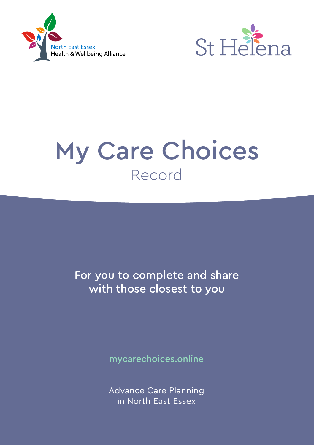



# My Care Choices Record

For you to complete and share with those closest to you

mycarechoices.online

Advance Care Planning in North East Essex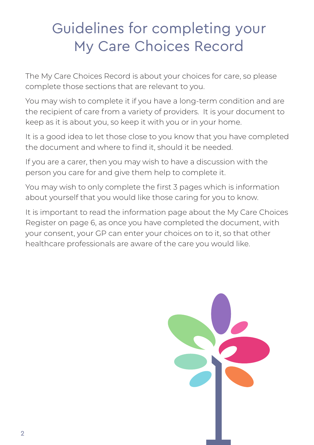## Guidelines for completing your My Care Choices Record

The My Care Choices Record is about your choices for care, so please complete those sections that are relevant to you.

You may wish to complete it if you have a long-term condition and are the recipient of care from a variety of providers. It is your document to keep as it is about you, so keep it with you or in your home.

It is a good idea to let those close to you know that you have completed the document and where to find it, should it be needed.

If you are a carer, then you may wish to have a discussion with the person you care for and give them help to complete it.

You may wish to only complete the first 3 pages which is information about yourself that you would like those caring for you to know.

It is important to read the information page about the My Care Choices Register on page 6, as once you have completed the document, with your consent, your GP can enter your choices on to it, so that other healthcare professionals are aware of the care you would like.

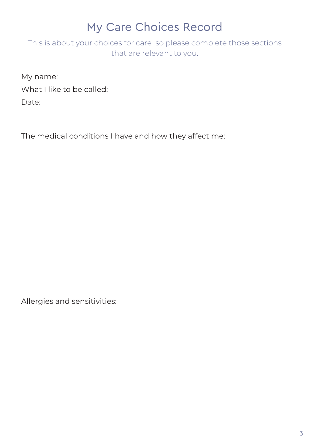### My Care Choices Record

This is about your choices for care so please complete those sections that are relevant to you.

My name: What I like to be called: Date:

The medical conditions I have and how they affect me:

Allergies and sensitivities: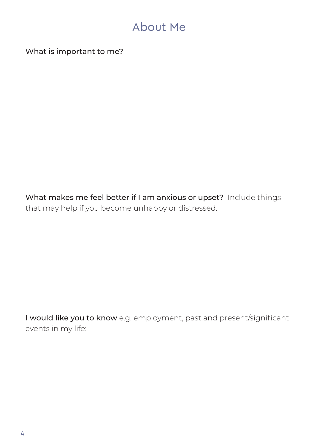### About Me

What is important to me?

What makes me feel better if I am anxious or upset? Include things that may help if you become unhappy or distressed.

I would like you to know e.g. employment, past and present/significant events in my life: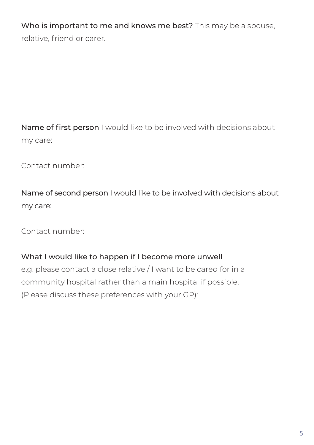Who is important to me and knows me best? This may be a spouse, relative, friend or carer.

Name of first person I would like to be involved with decisions about my care:

Contact number:

Name of second person I would like to be involved with decisions about my care:

Contact number:

#### What I would like to happen if I become more unwell

e.g. please contact a close relative / I want to be cared for in a community hospital rather than a main hospital if possible. (Please discuss these preferences with your GP):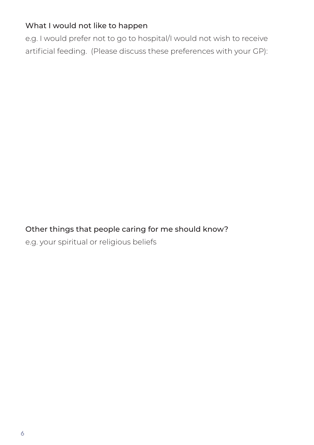#### What I would not like to happen

e.g. I would prefer not to go to hospital/I would not wish to receive artificial feeding. (Please discuss these preferences with your GP):

#### Other things that people caring for me should know?

e.g. your spiritual or religious beliefs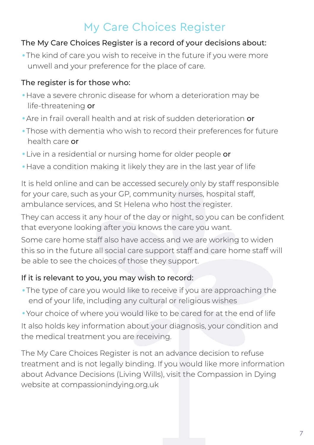### My Care Choices Register

#### The My Care Choices Register is a record of your decisions about:

•The kind of care you wish to receive in the future if you were more unwell and your preference for the place of care.

#### The register is for those who:

- •Have a severe chronic disease for whom a deterioration may be life-threatening or
- •Are in frail overall health and at risk of sudden deterioration or
- •Those with dementia who wish to record their preferences for future health care or
- •Live in a residential or nursing home for older people or
- •Have a condition making it likely they are in the last year of life

It is held online and can be accessed securely only by staff responsible for your care, such as your GP, community nurses, hospital staff, ambulance services, and St Helena who host the register.

They can access it any hour of the day or night, so you can be confident that everyone looking after you knows the care you want.

Some care home staff also have access and we are working to widen this so in the future all social care support staff and care home staff will be able to see the choices of those they support.

#### If it is relevant to you, you may wish to record:

•The type of care you would like to receive if you are approaching the end of your life, including any cultural or religious wishes

•Your choice of where you would like to be cared for at the end of life It also holds key information about your diagnosis, your condition and the medical treatment you are receiving.

The My Care Choices Register is not an advance decision to refuse treatment and is not legally binding. If you would like more information about Advance Decisions (Living Wills), visit the Compassion in Dying website at compassionindying.org.uk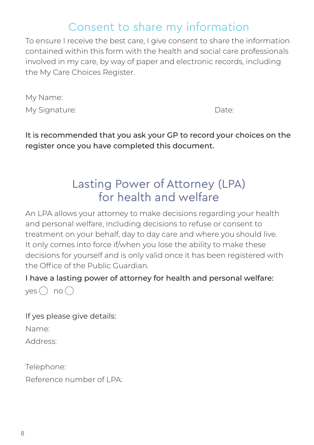### Consent to share my information

To ensure I receive the best care, I give consent to share the information contained within this form with the health and social care professionals involved in my care, by way of paper and electronic records, including the My Care Choices Register.

| My Name:      |       |
|---------------|-------|
| My Signature: | Date: |

It is recommended that you ask your GP to record your choices on the register once you have completed this document.

### Lasting Power of Attorney (LPA) for health and welfare

An LPA allows your attorney to make decisions regarding your health and personal welfare, including decisions to refuse or consent to treatment on your behalf, day to day care and where you should live. It only comes into force if/when you lose the ability to make these decisions for yourself and is only valid once it has been registered with the Office of the Public Guardian.

I have a lasting power of attorney for health and personal welfare:  $yes \bigcap no \bigcap$ 

If yes please give details: Name: Address:

Telephone: Reference number of LPA: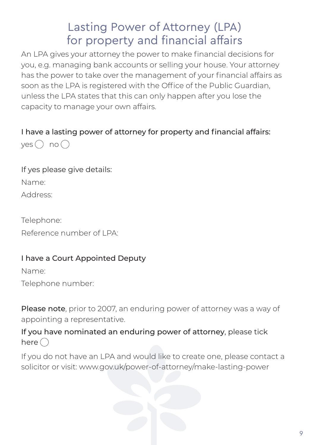### Lasting Power of Attorney (LPA) for property and financial affairs

An LPA gives your attorney the power to make financial decisions for you, e.g. managing bank accounts or selling your house. Your attorney has the power to take over the management of your financial affairs as soon as the LPA is registered with the Office of the Public Guardian. unless the LPA states that this can only happen after you lose the capacity to manage your own affairs.

#### I have a lasting power of attorney for property and financial affairs:  $ves \cap no \cap$

If yes please give details: Name:

Address:

Telephone:

Reference number of LPA:

#### I have a Court Appointed Deputy

Name:

Telephone number:

Please note, prior to 2007, an enduring power of attorney was a way of appointing a representative.

#### If you have nominated an enduring power of attorney, please tick here  $\bigcap$

If you do not have an LPA and would like to create one, please contact a solicitor or visit: www.gov.uk/power-of-attorney/make-lasting-power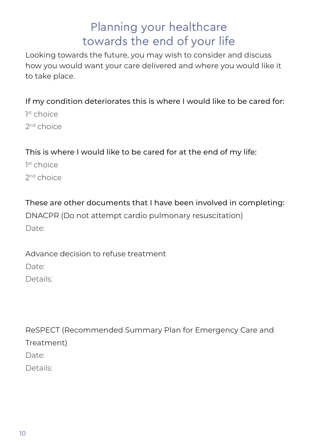### Planning your healthcare towards the end of your life

Looking towards the future, you may wish to consider and discuss how you would want your care delivered and where you would like it to take place.

If my condition deteriorates this is where I would like to be cared for:

1<sup>st</sup> choice 2nd choice

This is where I would like to be cared for at the end of my life:

1<sup>st</sup> choice 2nd choice

These are other documents that I have been involved in completing:

DNACPR (Do not attempt cardio pulmonary resuscitation) Date:

Advance decision to refuse treatment

Date:

Details:

ReSPECT (Recommended Summary Plan for Emergency Care and Treatment) Date:

Details: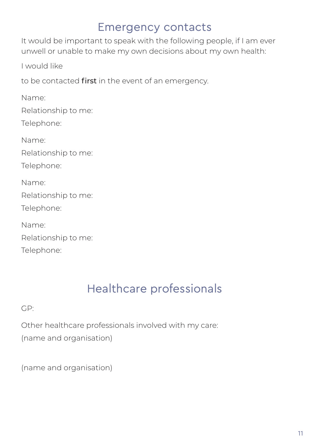### Emergency contacts

It would be important to speak with the following people, if I am ever unwell or unable to make my own decisions about my own health:

I would like

to be contacted first in the event of an emergency.

Name: Relationship to me: Telephone: Name: Relationship to me: Telephone: Name: Relationship to me: Telephone: Name: Relationship to me: Telephone:

### Healthcare professionals

GP:

Other healthcare professionals involved with my care: (name and organisation)

(name and organisation)